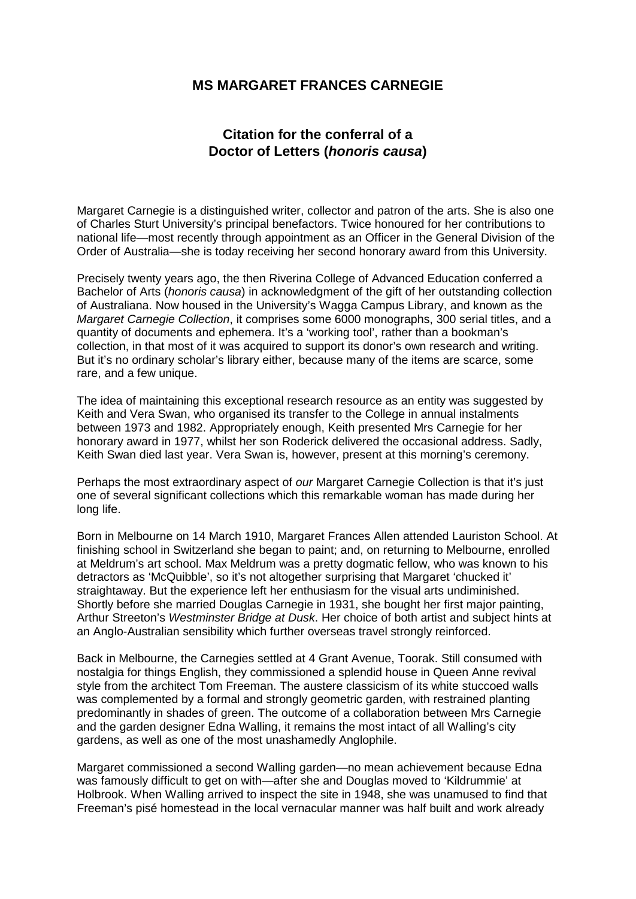## **MS MARGARET FRANCES CARNEGIE**

## **Citation for the conferral of a Doctor of Letters (***honoris causa***)**

Margaret Carnegie is a distinguished writer, collector and patron of the arts. She is also one of Charles Sturt University's principal benefactors. Twice honoured for her contributions to national life—most recently through appointment as an Officer in the General Division of the Order of Australia—she is today receiving her second honorary award from this University.

Precisely twenty years ago, the then Riverina College of Advanced Education conferred a Bachelor of Arts (*honoris causa*) in acknowledgment of the gift of her outstanding collection of Australiana. Now housed in the University's Wagga Campus Library, and known as the *Margaret Carnegie Collection*, it comprises some 6000 monographs, 300 serial titles, and a quantity of documents and ephemera. It's a 'working tool', rather than a bookman's collection, in that most of it was acquired to support its donor's own research and writing. But it's no ordinary scholar's library either, because many of the items are scarce, some rare, and a few unique.

The idea of maintaining this exceptional research resource as an entity was suggested by Keith and Vera Swan, who organised its transfer to the College in annual instalments between 1973 and 1982. Appropriately enough, Keith presented Mrs Carnegie for her honorary award in 1977, whilst her son Roderick delivered the occasional address. Sadly, Keith Swan died last year. Vera Swan is, however, present at this morning's ceremony.

Perhaps the most extraordinary aspect of *our* Margaret Carnegie Collection is that it's just one of several significant collections which this remarkable woman has made during her long life.

Born in Melbourne on 14 March 1910, Margaret Frances Allen attended Lauriston School. At finishing school in Switzerland she began to paint; and, on returning to Melbourne, enrolled at Meldrum's art school. Max Meldrum was a pretty dogmatic fellow, who was known to his detractors as 'McQuibble', so it's not altogether surprising that Margaret 'chucked it' straightaway. But the experience left her enthusiasm for the visual arts undiminished. Shortly before she married Douglas Carnegie in 1931, she bought her first major painting, Arthur Streeton's *Westminster Bridge at Dusk*. Her choice of both artist and subject hints at an Anglo-Australian sensibility which further overseas travel strongly reinforced.

Back in Melbourne, the Carnegies settled at 4 Grant Avenue, Toorak. Still consumed with nostalgia for things English, they commissioned a splendid house in Queen Anne revival style from the architect Tom Freeman. The austere classicism of its white stuccoed walls was complemented by a formal and strongly geometric garden, with restrained planting predominantly in shades of green. The outcome of a collaboration between Mrs Carnegie and the garden designer Edna Walling, it remains the most intact of all Walling's city gardens, as well as one of the most unashamedly Anglophile.

Margaret commissioned a second Walling garden—no mean achievement because Edna was famously difficult to get on with—after she and Douglas moved to 'Kildrummie' at Holbrook. When Walling arrived to inspect the site in 1948, she was unamused to find that Freeman's pisé homestead in the local vernacular manner was half built and work already